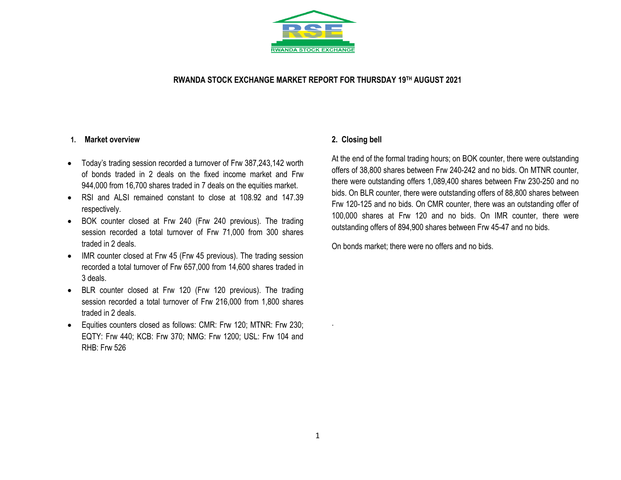

### **RWANDA STOCK EXCHANGE MARKET REPORT FOR THURSDAY 19 TH AUGUST 2021**

#### **1. Market overview**

- Today's trading session recorded a turnover of Frw 387,243,142 worth of bonds traded in 2 deals on the fixed income market and Frw 944,000 from 16,700 shares traded in 7 deals on the equities market.
- RSI and ALSI remained constant to close at 108.92 and 147.39 respectively.
- BOK counter closed at Frw 240 (Frw 240 previous). The trading session recorded a total turnover of Frw 71,000 from 300 shares traded in 2 deals.
- IMR counter closed at Frw 45 (Frw 45 previous). The trading session recorded a total turnover of Frw 657,000 from 14,600 shares traded in 3 deals.
- BLR counter closed at Frw 120 (Frw 120 previous). The trading session recorded a total turnover of Frw 216,000 from 1,800 shares traded in 2 deals.
- Equities counters closed as follows: CMR: Frw 120; MTNR: Frw 230; EQTY: Frw 440; KCB: Frw 370; NMG: Frw 1200; USL: Frw 104 and RHB: Frw 526

### **2. Closing bell**

At the end of the formal trading hours; on BOK counter, there were outstanding offers of 38,800 shares between Frw 240-242 and no bids. On MTNR counter, there were outstanding offers 1,089,400 shares between Frw 230-250 and no bids. On BLR counter, there were outstanding offers of 88,800 shares between Frw 120-125 and no bids. On CMR counter, there was an outstanding offer of 100,000 shares at Frw 120 and no bids. On IMR counter, there were outstanding offers of 894,900 shares between Frw 45-47 and no bids.

On bonds market; there were no offers and no bids.

.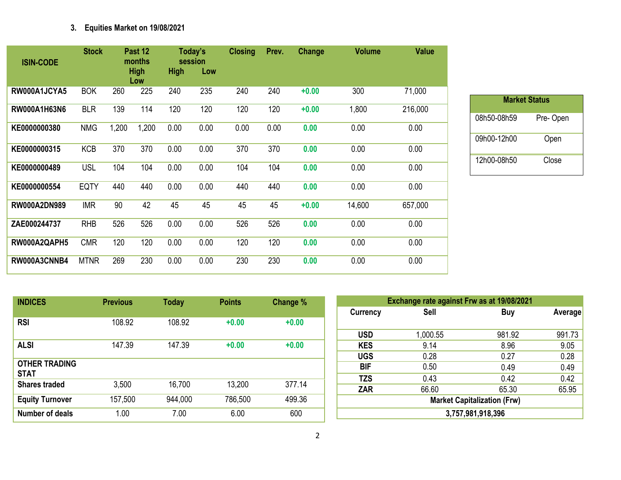# **3. Equities Market on 19/08/2021**

| <b>ISIN-CODE</b>    | <b>Stock</b> |       | Past 12<br>months<br><b>High</b><br>Low | <b>High</b> | Today's<br>session<br>Low | <b>Closing</b> | Prev. | <b>Change</b> | <b>Volume</b> | <b>Value</b> |
|---------------------|--------------|-------|-----------------------------------------|-------------|---------------------------|----------------|-------|---------------|---------------|--------------|
| RW000A1JCYA5        | <b>BOK</b>   | 260   | 225                                     | 240         | 235                       | 240            | 240   | $+0.00$       | 300           | 71,000       |
| RW000A1H63N6        | <b>BLR</b>   | 139   | 114                                     | 120         | 120                       | 120            | 120   | $+0.00$       | 1,800         | 216,000      |
| KE0000000380        | <b>NMG</b>   | 1,200 | 1,200                                   | 0.00        | 0.00                      | 0.00           | 0.00  | 0.00          | 0.00          | 0.00         |
| KE0000000315        | <b>KCB</b>   | 370   | 370                                     | 0.00        | 0.00                      | 370            | 370   | 0.00          | 0.00          | 0.00         |
| KE0000000489        | <b>USL</b>   | 104   | 104                                     | 0.00        | 0.00                      | 104            | 104   | 0.00          | 0.00          | 0.00         |
| KE0000000554        | <b>EQTY</b>  | 440   | 440                                     | 0.00        | 0.00                      | 440            | 440   | 0.00          | 0.00          | 0.00         |
| <b>RW000A2DN989</b> | <b>IMR</b>   | 90    | 42                                      | 45          | 45                        | 45             | 45    | $+0.00$       | 14,600        | 657,000      |
| ZAE000244737        | <b>RHB</b>   | 526   | 526                                     | 0.00        | 0.00                      | 526            | 526   | 0.00          | 0.00          | 0.00         |
| RW000A2QAPH5        | <b>CMR</b>   | 120   | 120                                     | 0.00        | 0.00                      | 120            | 120   | 0.00          | 0.00          | 0.00         |
| RW000A3CNNB4        | <b>MTNR</b>  | 269   | 230                                     | 0.00        | 0.00                      | 230            | 230   | 0.00          | 0.00          | 0.00         |

| <b>Market Status</b> |          |  |  |  |  |  |  |  |  |
|----------------------|----------|--|--|--|--|--|--|--|--|
| 08h50-08h59          | Pre-Open |  |  |  |  |  |  |  |  |
| 09h00-12h00          | Open     |  |  |  |  |  |  |  |  |
| 12h00-08h50          | Close    |  |  |  |  |  |  |  |  |

| <b>INDICES</b>                      | <b>Previous</b> | <b>Today</b> | <b>Points</b> | Change % |
|-------------------------------------|-----------------|--------------|---------------|----------|
| <b>RSI</b>                          | 108.92          | 108.92       | $+0.00$       | $+0.00$  |
| <b>ALSI</b>                         | 147.39          | 147.39       | $+0.00$       | $+0.00$  |
| <b>OTHER TRADING</b><br><b>STAT</b> |                 |              |               |          |
| <b>Shares traded</b>                | 3,500           | 16,700       | 13,200        | 377.14   |
| <b>Equity Turnover</b>              | 157,500         | 944,000      | 786,500       | 499.36   |
| <b>Number of deals</b>              | 1.00            | 7.00         | 6.00          | 600      |

| Exchange rate against Frw as at 19/08/2021 |                                    |        |         |  |  |  |  |  |  |
|--------------------------------------------|------------------------------------|--------|---------|--|--|--|--|--|--|
| Currency                                   | <b>Sell</b>                        | Buy    | Average |  |  |  |  |  |  |
|                                            |                                    |        |         |  |  |  |  |  |  |
| <b>USD</b>                                 | 1,000.55                           | 981.92 | 991.73  |  |  |  |  |  |  |
| <b>KES</b>                                 | 9.14                               | 8.96   | 9.05    |  |  |  |  |  |  |
| <b>UGS</b>                                 | 0.28                               | 0.27   | 0.28    |  |  |  |  |  |  |
| <b>BIF</b>                                 | 0.50                               | 0.49   | 0.49    |  |  |  |  |  |  |
| <b>TZS</b>                                 | 0.43                               | 0.42   | 0.42    |  |  |  |  |  |  |
| <b>ZAR</b>                                 | 66.60                              | 65.30  | 65.95   |  |  |  |  |  |  |
|                                            | <b>Market Capitalization (Frw)</b> |        |         |  |  |  |  |  |  |
|                                            | 3,757,981,918,396                  |        |         |  |  |  |  |  |  |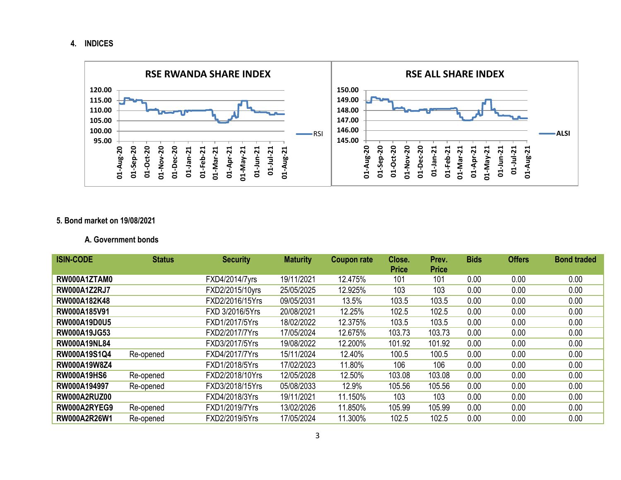**4. INDICES**



#### **5. Bond market on 19/08/2021**

### **A. Government bonds**

| <b>ISIN-CODE</b>    | <b>Status</b> | <b>Security</b> | <b>Maturity</b> | <b>Coupon rate</b> | Close.       | Prev.        | <b>Bids</b> | <b>Offers</b> | <b>Bond traded</b> |
|---------------------|---------------|-----------------|-----------------|--------------------|--------------|--------------|-------------|---------------|--------------------|
|                     |               |                 |                 |                    | <b>Price</b> | <b>Price</b> |             |               |                    |
| RW000A1ZTAM0        |               | FXD4/2014/7yrs  | 19/11/2021      | 12.475%            | 101          | 101          | 0.00        | 0.00          | 0.00               |
| <b>RW000A1Z2RJ7</b> |               | FXD2/2015/10yrs | 25/05/2025      | 12.925%            | 103          | 103          | 0.00        | 0.00          | 0.00               |
| RW000A182K48        |               | FXD2/2016/15Yrs | 09/05/2031      | 13.5%              | 103.5        | 103.5        | 0.00        | 0.00          | 0.00               |
| RW000A185V91        |               | FXD 3/2016/5Yrs | 20/08/2021      | 12.25%             | 102.5        | 102.5        | 0.00        | 0.00          | 0.00               |
| <b>RW000A19D0U5</b> |               | FXD1/2017/5Yrs  | 18/02/2022      | 12.375%            | 103.5        | 103.5        | 0.00        | 0.00          | 0.00               |
| <b>RW000A19JG53</b> |               | FXD2/2017/7Yrs  | 17/05/2024      | 12.675%            | 103.73       | 103.73       | 0.00        | 0.00          | 0.00               |
| <b>RW000A19NL84</b> |               | FXD3/2017/5Yrs  | 19/08/2022      | 12.200%            | 101.92       | 101.92       | 0.00        | 0.00          | 0.00               |
| <b>RW000A19S1Q4</b> | Re-opened     | FXD4/2017/7Yrs  | 15/11/2024      | 12.40%             | 100.5        | 100.5        | 0.00        | 0.00          | 0.00               |
| <b>RW000A19W8Z4</b> |               | FXD1/2018/5Yrs  | 17/02/2023      | 11.80%             | 106          | 106          | 0.00        | 0.00          | 0.00               |
| <b>RW000A19HS6</b>  | Re-opened     | FXD2/2018/10Yrs | 12/05/2028      | 12.50%             | 103.08       | 103.08       | 0.00        | 0.00          | 0.00               |
| RW000A194997        | Re-opened     | FXD3/2018/15Yrs | 05/08/2033      | 12.9%              | 105.56       | 105.56       | 0.00        | 0.00          | 0.00               |
| RW000A2RUZ00        |               | FXD4/2018/3Yrs  | 19/11/2021      | 11.150%            | 103          | 103          | 0.00        | 0.00          | 0.00               |
| RW000A2RYEG9        | Re-opened     | FXD1/2019/7Yrs  | 13/02/2026      | 11.850%            | 105.99       | 105.99       | 0.00        | 0.00          | 0.00               |
| <b>RW000A2R26W1</b> | Re-opened     | FXD2/2019/5Yrs  | 17/05/2024      | 11.300%            | 102.5        | 102.5        | 0.00        | 0.00          | 0.00               |